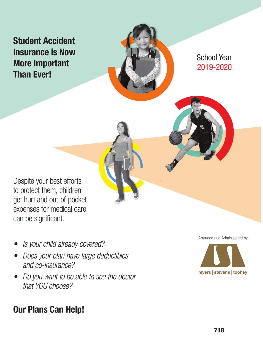## Student Accident Insurance is Now More Important Than Ever!



2019-2020 School Year

Despite your best efforts to protect them, children get hurt and out-of-pocket expenses for medical care can be significant.

- *• Is your child already covered?*
- *• Does your plan have large deductibles and co-insurance?*
- *• Do you want to be able to see the doctor that YOU choose?*

## Our Plans Can Help!

Arranged and Administered by:

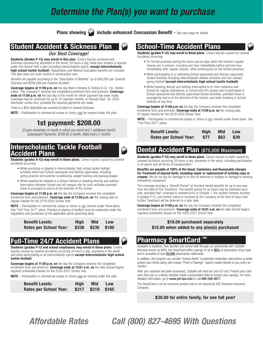## *Determine the Plan(s) you want to purchase*

**Plans showing include enhanced Concussion Benefit - See next page for details** 

## Student Accident & Sickness Plan

#### *Our Best Coverage!*

Students (Grades P-12) may enroll in this plan. Covers Injuries sustained and Sickness commencing anywhere in the world, 24 hours a day, while your student is insured under this School Year's plan (including interscholastic sports, except interscholastic high school tackle football). Repatriation and Medical Evacuation benefits are included. This plan does not cover routine or preventative care.

*Benefits are payable according to the "Description of Benefits" up to \$50,000 per Covered Sickness and \$200,000 per Covered Accident.*

Coverage begins at 11:59 p.m. on the day Myers-Stevens & Toohey & Co., Inc. (herein called "The Company") receives the completed enrollment form and premium. Coverage ends at 11:59 p.m. on the last day of the month for which payment has been made. Coverage may be continued for up to 12 calendar months, or through Sept. 30, 2020, whichever comes first, provided the required payments are made.

There is a \$50 deductible per covered Accident or covered Sickness.

NOTE – Participation in commercial camps or clinics may be covered under this plan.

## 1st payment: \$208.00

*(Covers remainder of month in which you enroll and 1 additional month) Subsequent Payments: \$169.00 a month, billed every 2 months*

## Interscholastic Tackle Football Accident Plans

Students (grades 9-12) may enroll in these plans. Covers Injuries caused by covered accidents occurring:

- While practicing or playing in interscholastic high school tackle football activities which are School-sponsored and directly supervised, including spring practice and summer conditioning, weight training and passing league
- While traveling for football in a School Vehicle or traveling directly and without interruption between School and off-campus site for such activities provided travel is arranged by and is at the direction of the School

Coverage begins at 11:59 p.m. on the day the Company receives the completed enrollment form and premium. Coverage ends at 11:59 p.m. on the closing date of regular classes for the 2019-2020 School Year.

NOTE – Participation in commercial camps or clinics is not covered under these plans. See "Full-Time 24/7" plans. Practice or playing of football must be conducted under the regulations and jurisdiction of the applicable sports governing body

| <b>Benefit Levels:</b>        | Hiah | <b>Mid</b>           | <b>Low</b> |  |
|-------------------------------|------|----------------------|------------|--|
| <b>Rates per School Year:</b> |      | $$338$ $$235$ $$180$ |            |  |

## Full-Time 24/7 Accident Plans

Students (grades P-12 and school employees) may enroll in these plans. Covers Injuries caused by covered Accidents occurring 24 hours a day, anywhere in the world and while participating in all interscholastic sports except interscholastic high school tackle football.

Coverage begins at 11:59 p.m. on the day the Company receives the completed enrollment form and premium. Coverage ends at 12:01 a.m. on the date School begins regularly scheduled classes for the 2020-2021 School Year.

NOTE – Participation in commercial camps or clinics may be covered under this plan.

| <b>Benefit Levels:</b>        | Hiah | <b>Mid</b>        | <b>Low</b> |  |
|-------------------------------|------|-------------------|------------|--|
| <b>Rates per School Year:</b> |      | \$317 \$219 \$165 |            |  |

### School-Time Accident Plans

Students (grades P-12) may enroll in these plans. Covers Injuries caused by covered Accidents occurring:

- On School premises during the hours and on days when the School's regular classes are in session, including one hour immediately before and one hour immediately after regular classes, while continuously on the School premises
- While participating in or attending School-sponsored and directly supervised School Activities including interscholastic athletic activities and non-contact spring football (except interscholastic high school tackle football)
- While traveling directly and without interruption to or from residence and School for regular attendance; or School and off campus site to participate in School-sponsored and directly supervised School Activities, provided travel is arranged by and is at the direction of the School; and while traveling in School Vehicles at any time.

**Coverage begins at 11:59 p.m. on** the day the Company receives the completed enrollment form and premium. Coverage ends at 11:59 p.m. on the closing date of regular classes for the 2019-2020 School Year.

NOTE – Participation in commercial camps or clinics is not covered under these plans. See "Full-Time 24/7" plans.

| <b>Benefit Levels:</b>        | Hiah        | Mid       | <b>Low</b> |
|-------------------------------|-------------|-----------|------------|
| <b>Rates per School Year:</b> | <b>\$77</b> | \$63 \$39 |            |

## Dental Accident Plan (\$75,000 Maximum)

Students (grades P-12) may enroll in these plans. Covers Injuries to teeth caused by covered Accidents occurring 24 hours a day, anywhere in the world, including participation in all sports and all forms of transportation.

Benefits are payable at 100% of the Usual, Customary and Reasonable charges for Treatment of Injured teeth, including repair or replacement of existing caps or crowns. We do not pay for damage to or loss of dentures or bridges or damage to existing orthodontic equipment.

The coverage provides a "Benefit Period" of Accident dental benefits for up to one year from the date of first Treatment. The benefit period for an Injury may be extended each year, provided that: coverage is renewed prior to October 1, the student remains enrolled in grades P-12, and written notice is received by the Company at the time of Injury that further Treatment will be deferred to a later date.

**Coverage begins at 11:59 p.m. on** the day the Company receives the completed enrollment form and premium. Coverage ends at 12:01 a.m. on the date School begins regularly scheduled classes for the 2020-2021 School Year.

#### \$16.00 purchased separately \$12.00 when added to any plan(s) purchased

#### Pharmacy SmartCard ™

Available to students, their families and school staff through our partnership with CastiaRx (formerly known as NPS), the SmartCard offers savings of up to 95% of prescription drug costs and is accepted at over 63,000 pharmacies nationwide.

In addition, the program can provide "Instant Alerts" to potential medication interactions to better protect your family along with unique "Proof of Savings" reports mailed directly to you every six months.

After your payment has been processed, CastiaRx will send you your ID card. Present your card each time you or a family member needs a prescription filled to receive your savings. For more detailed information, go to www.pti-nps.com or call 800-546-5677.

The SmartCard is not an insurance product and is not insured by ACE American Insurance Company.

#### \$36.00 for entire family, for one full year!

*Affordable Rates Call (800) 827-4695 With Questions*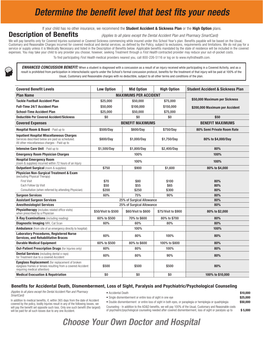## *Determine the benefit level that best fits your needs*

If your child has no other insurance, we recommend the Student Accident & Sickness Plan or the High Option plans.

**Description of Benefits** *<i>(Applies to all plans except the Dental Accident Plan and Pharmacy SmartCard)* 

We will pay benefits only for Covered Injuries sustained or Covered Sickness commencing while insured under this School Year's plan. Benefits payable will be based on the Usual, Customary and Reasonable Charges incurred for covered medical and dental services, as defined by the Policy, subject to exclusions, requirements and limitations. We do not pay for a service or supply unless it is Medically Necessary and listed in the Description of Benefits below. Applicable benefits mandated by the state of residence will be included in the covered expenses. You may take your child to any provider you choose; however, seeking Treatment through a *First Health* contracted provider may reduce your out-of-pocket costs.

To find participating *First Health* medical providers nearest you, call 800-226-5116 or log on to www.myfirsthealth.com.

*ENHANCED CONCUSSION BENEFIT:* When a student is diagnosed with a concussion as a result of an injury received while participating in a Covered Activity, and as a result is prohibited from participation in interscholastic sports under the School's formal concussion protocol, benefits for the treatment of that injury will be paid at 100% of the Usual, Customary and Reasonable charges with no deductible, subject to all other terms and conditions of the plan.

| <b>Covered Benefit Levels</b>                                                                                                                         | <b>Low Option</b>            | <b>Mid Option</b>         | <b>High Option</b>  | <b>Student Accident &amp; Sickness Plan</b> |
|-------------------------------------------------------------------------------------------------------------------------------------------------------|------------------------------|---------------------------|---------------------|---------------------------------------------|
| <b>Plan Name</b>                                                                                                                                      | <b>MAXIMUMS PER ACCIDENT</b> |                           |                     |                                             |
| <b>Tackle Football Accident Plan</b>                                                                                                                  | \$25,000                     | \$50,000                  | \$75,000            | \$50,000 Maximum per Sickness               |
| <b>Full-Time 24/7 Accident Plan</b>                                                                                                                   | \$50,000                     | \$100,000                 | \$150,000           | \$200,000 Maximum per Accident              |
| <b>School-Time Accident Plan</b>                                                                                                                      | \$25,000                     | \$50.000                  | \$75,000            |                                             |
| <b>Deductible Per Covered Accident/Sickness</b>                                                                                                       | \$0                          | \$0                       | \$0                 | \$50                                        |
| <b>Covered Expenses</b>                                                                                                                               |                              | <b>BENEFIT MAXIMUMS</b>   |                     | <b>BENEFIT MAXIMUMS</b>                     |
| Hospital Room & Board - Paid up to                                                                                                                    | \$500/Day                    | \$600/Day                 | \$750/Day           | 80% Semi Private Room Rate                  |
| <b>Inpatient Hospital Miscellaneous Charges</b><br>Services described below are paid as scheduled.<br>All other miscellaneous charges - Paid up to    | \$800/Day                    | \$1,000/Day               | \$1.750/Dav         | 80% to \$4,000/Day                          |
| Intensive Care Unit - Paid up to                                                                                                                      | \$1,500/Day                  | \$1,800/Day               | \$2,400/Day         | 80%                                         |
| <b>Emergency Room Physician Charges</b>                                                                                                               |                              | 100%                      |                     | 100%                                        |
| <b>Hospital Emergency Room</b><br>(room & supplies) incurred within 72 hours of an Injury                                                             | 100%                         |                           | 100%                |                                             |
| <b>Outpatient Surgical</b> (room & supplies)                                                                                                          | \$750                        | \$900                     | \$1.600             | 80% to \$4,000                              |
| <b>Physician Non-Surgical Treatment &amp; Exam</b><br>(excluding Physical Therapy)                                                                    |                              |                           |                     |                                             |
| <b>First Visit</b>                                                                                                                                    | \$70                         | \$80                      | \$100               | 80%                                         |
| Each Follow Up Visit                                                                                                                                  | \$50                         | \$55                      | \$65                | 80%                                         |
| Consultation (when referred by attending Physician)                                                                                                   | \$200                        | \$250                     | \$300               | 80%                                         |
| <b>Surgeon Services</b>                                                                                                                               | 60%                          | 75%                       | 90%                 | 80%                                         |
| <b>Assistant Surgeon Services</b>                                                                                                                     |                              | 25% of Surgical Allowance |                     | 80%                                         |
| <b>Anesthesiologist Services</b>                                                                                                                      |                              | 25% of Surgical Allowance |                     | 80%                                         |
| Physiotherapy (includes related office visits)<br>when prescribed by a Physician                                                                      | \$50/Visit to \$500          | \$60/Visit to \$600       | \$75/Visit to \$900 | 80% to \$2,000                              |
| X-Ray Examinations (including reading)                                                                                                                | 60% to \$500                 | 70% to \$600              | 80% to \$700        | 80%                                         |
| <b>Diagnostic Imaging MRI, Cat Scan</b>                                                                                                               | 60%                          | 60%                       | 80%                 | 80%                                         |
| <b>Ambulance</b> (from site of an emergency directly to hospital)                                                                                     |                              | 100%                      |                     | 100%                                        |
| <b>Laboratory Procedures, Registered Nurse</b><br><b>Services, and Rehabilitative Braces</b>                                                          | 60%                          | 80%                       | 100%                | 80%                                         |
| <b>Durable Medical Equipment</b>                                                                                                                      | 60% to \$500                 | 80% to \$600              | 100% to \$800       | 80%                                         |
| <b>Out-Patient Prescription Drugs (for Injuries only)</b>                                                                                             | 60%                          | 80%                       | 100%                | 80%                                         |
| <b>Dental Services</b> (including dental x-rays)<br>for Treatment due to a covered Accident                                                           | 60%                          | 80%                       | 90%                 | 80%                                         |
| <b>Eyeglass Replacement</b> (for replacement of broken<br>eyeglass frames or lenses resulting from a covered Accident<br>requiring medical attention) | \$500                        | \$500                     | \$500               | 80%                                         |
| <b>Medical Evacuation &amp; Repatriation</b>                                                                                                          | \$0                          | \$0                       | \$0                 | 100% to \$10,000                            |

#### Benefits for Accidental Death, Dismemberment, Loss of Sight, Paralysis and Psychiatric/Psychological Counseling

*(Applies to all plans except the Dental Accident Plan and Pharmacy SmartCard)*

- Accidental Death **\$10.000**
- Single dismemberment or entire loss of sight in one eye **625,000 \$25,000**

In addition to medical benefits, if, within 365 days from the date of Accident covered by the policy, bodily Injuries result in any of the following losses, we will pay the benefit set opposite such loss. Only one such benefit (the largest) will be paid for all such losses due to any one Accident.

• Double dismemberment or entire loss of sight in both eyes, or paraplegia or hemiplegia or quadriplegia  $$50,000$ Counseling - In addition to the AD&D benefits, we will pay 100% of the Usual, Customary and Reasonable costs of psychiatric/psychological counseling needed after covered dismemberment, loss of sight or paralysis up to \$ 5,000

## *Choose Your Own Doctor and Hospital*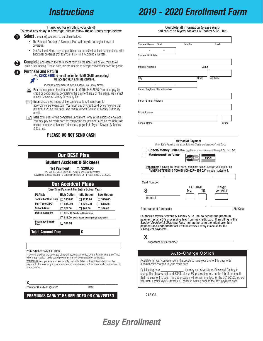## *Instructions*

## *2019 - 2020 Enrollment Form*

#### Thank you for enrolling your child!

To avoid any delay in coverage, please follow these 3 easy steps below:

**Select** the plan(s) you wish to purchase below:

- The Student Accident & Sickness Plan will provide our highest level of coverage.
- Our Accident Plans may be purchased on an individual basis or combined with additional coverage (for example, Full-Time Accident + Dental).

**2 3**

**1 1**

**Complete** and detach the enrollment form on the right side or you may enroll online (see below). Please note, we are unable to accept enrollments over the phone.

Pu[rchase and Return](https://www.myers-stevens.com/enrollment-page)

#### CLICK HERE to enroll online for IMMEDIATE processing! We accept VISA and MasterCard.

If online enrollment is not available, you may either:

- **E** Fax the completed Enrollment Form to (949) 348-2630. You must pay by credit or debit card by completing the payment area on this page. We cann credit or debit card by completing the payment area on this page. We cannot accept Checks or Money Orders by fax.
- $\boxtimes$  **Email** a scanned image of the completed Enrollment Form to  $\cong$ apply@myers-stevens.com. You must pay by credit card by completing the payment area on this page. We cannot accept Checks or Money Orders by email.
- $\equiv$  **Mail** both sides of the completed Enrollment Form in the enclosed envelope. You may pay by credit card by completing the payment area on the right side enclose a check or Money Order made payable to Myers-Stevens & Toohey & Co., Inc.

#### PLEASE DO NOT SEND CASH

### Our BEST Plan

#### Student Accident & Sickness

1st Payment  $\Box$  \$208.00

You will be billed \$338.00 every 2 months thereafter. Coverage cannot exceed 12 calendar months or run past Sept. 30, 2020.

|                                                        | <b>Our Accident Plans</b>                   |                      |                    |                    |  |  |
|--------------------------------------------------------|---------------------------------------------|----------------------|--------------------|--------------------|--|--|
|                                                        | (One-Time Payment For Entire School Year)   |                      |                    |                    |  |  |
|                                                        | <b>PLANS:</b>                               | <b>High Option</b>   | <b>Mid Option</b>  | <b>Low Option</b>  |  |  |
|                                                        | <b>Tackle Football Only</b>                 | $\sqsupset$ \$338.00 | 3235.00            | $\sqcap$ \$180.00  |  |  |
|                                                        | <b>Full-Time (24/7)</b>                     | $\Box$ \$317.00      | $\square$ \$219.00 | $\square$ \$165.00 |  |  |
|                                                        | School-Time                                 | \$77.00              | 563.00             | ∃ \$39.00          |  |  |
| <b>Dental Accident</b><br>\$16.00 Purchased Separately |                                             |                      |                    |                    |  |  |
|                                                        | \$12.00 When added to any plan(s) purchased |                      |                    |                    |  |  |
|                                                        | <b>Pharmacy Smart-</b><br>Card              | \$36.00              |                    |                    |  |  |
| <b>Total Amount Due</b><br>\$                          |                                             |                      |                    |                    |  |  |

Print Parent or Guardian Name

I have enrolled for the coverage checked above as provided by the Family Insurance Trust where applicable. I understand premiums cannot be refunded or converted.

WARNING: Any person who knowingly presents false or fraudulent claim for the payment of a loss is guilty of a crime and may be subject to fines and confinement in state prison.

 $x$  , where the contract of  $x$  and  $x$  and  $x$  and  $x$  and  $x$  and  $x$  and  $x$  and  $x$  and  $x$  and  $x$  and  $x$  and  $x$  and  $x$  and  $x$  and  $x$  and  $x$  and  $x$  and  $x$  and  $x$  and  $x$  and  $x$  and  $x$  and  $x$  and  $x$  and

Parent or Guardian Signature **Date** Date

#### PREMIUMS CANNOT BE REFUNDED OR CONVERTED

Complete all information (please print) and return to Myers-Stevens & Toohey & Co., Inc.

| First<br><b>Student Name</b> | Middle |              | Last     |       |
|------------------------------|--------|--------------|----------|-------|
| -                            |        |              |          |       |
| <b>Student Birthdate</b>     |        |              |          |       |
|                              |        |              |          |       |
| <b>Mailing Address</b>       |        | Apt.#        |          |       |
|                              |        |              |          |       |
| City                         |        | <b>State</b> | Zip Code |       |
| ۰<br>۰                       |        |              |          |       |
| Parent Daytime Phone Number  |        |              |          |       |
|                              |        |              |          |       |
| <b>Parent E-mail Address</b> |        |              |          |       |
|                              |        |              |          |       |
| <b>District Name</b>         |        |              |          |       |
|                              |        |              |          |       |
| <b>School Name</b>           |        |              |          | Grade |

#### Method of Payment

*Note: \$25.00 service charge for Returned Checks and declined Credit Cards*

**Check/Money Order** (Make payable to: Myers-Stevens & Toohey & Co., Inc.) **or** 



Important: If paying by credit card, complete below. Charge will appear as "MYERS-STEVENS & TOOHEY 800-827-4695 CA" on your statement.

| <b>Card Number</b>              |                         |                      |          |
|---------------------------------|-------------------------|----------------------|----------|
| S                               | EXP. DATE<br>YR.<br>MO. | 3 digit<br>control # |          |
| Amount                          |                         |                      |          |
| <b>Print Name of Cardholder</b> |                         |                      | Zip Code |

I authorize Myers-Stevens & Toohey & Co. Inc. to deduct the premium payment, plus a 3% processing fee, from my credit card. If enrolling in the *Student Accident & Sickness Plan*, I am authorizing the initial premium payment and understand that I will be invoiced every 2 months for the subsequent payments.

#### **X**

Signature of Cardholder

#### Auto-Charge Option

Available for your convenience is the option to have your bi-monthly payments automatically charged to your credit card.

By initialing here \_\_\_\_\_\_\_\_\_\_\_\_\_\_, I hereby authorize Myers-Stevens & Toohey to charge the above credit card \$338, plus a 3% processing fee, on the 5th of the month that my payment is due. This authorization will remain in effect for the 2019/2020 school year until I notify Myers-Stevens & Toohey in writing prior to the next payment date.

718.CA

## *Easy Enrollment*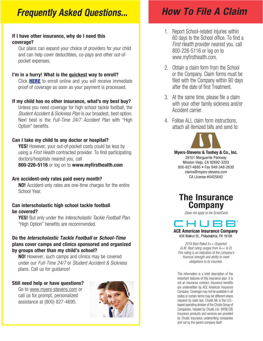## *Frequently Asked Questions...*

### If I have other insurance, why do I need this coverage?

Our plans can expand your choice of providers for your child and can help cover deductibles, co-pays and other out-ofpocket expenses.

### I'm in a hurry! What is the quickest way to enroll?

Click **HERE** to enroll online and you will receive immediate [proof of coverage a](https://www.myers-stevens.com/enrollment-page)s soon as your payment is processed.

### If my child has no other insurance, what's my best buy?

Unless you need coverage for high school tackle football, the *Student Accident & Sickness Plan* is our broadest, best option. Next best is the *Full-Time 24/7 Accident Plan* with "High Option" benefits.

### Can I take my child to any doctor or hospital?

**YES!** However, your out-of-pocket costs could be less by using a *First Health* contracted provider. To find participating doctors/hospitals nearest you, call

800-226-5116 or log on to www.myfirsthealth.com

### Are accident-only rates paid every month?

NO! Accident-only rates are one-time charges for the entire School Year.

### Can interscholastic high school tackle football be covered?

YES! But only under the *Interscholastic Tackle Football Plan*. "High Option" benefits are recommended.

### Do the *Interscholastic Tackle Football* or *School-Time* plans cover camps and clinics sponsored and organized by groups other than my child's school?

NO! However, such camps and clinics may be covered under our *Full-Time 24/7* or *Student Accident & Sickness*  plans. Call us for guidance!

### Still need help or have questions?

Go to www.myers-stevens.com or call us for prompt, personalized assistance at (800) 827-4695.



# *How To File A Claim*

- 1. Report School-related Injuries within 60 days to the School office. To find a *First Health* provider nearest you, call 800-226-5116 or log on to www.myfirsthealth.com.
- 2. Obtain a claim form from the School or the Company. Claim forms must be filed with the Company within 90 days after the date of first Treatment.
- 3. At the same time, please file a claim with your other family sickness and/or Accident carrier.
- 4. Follow ALL claim form instructions, attach all itemized bills and send to:



**myers** I **stevens** I **toohey** Myers-Stevens & Toohey & Co., Inc. 26101 Marguerite Parkway Mission Viejo, CA 92692-3203 800-827-4695 • Fax 949-348-2630 claims@myers-stevens.com CA License #0425842



*(Does not apply to the SmartCard)*



436 Walnut St., Philadelphia, PA 19106

*2018 Best Rated A++ (Superior) (A.M. Best rating ranges from A++ to D) This rating is an indication of the company's financial strength and ability to meet obligations to its insureds.*

This information is a brief description of the important features of this insurance plan. It is not an insurance contract. Insurance benefits are underwritten by ACE American Insurance Company. Coverage may not be available in all states or certain terms may be different where required by state law. Chubb NA is the U.S. based operating division of the Chubb Group of Companies, headed by Chubb Ltd. (NYSE:CB) Insurance products and services are provided by Chubb Insurance underwriting companies and not by the parent company itself.